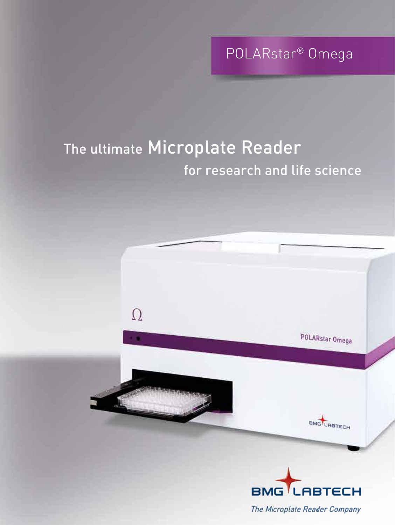POLARstar® Omega

# The ultimate Microplate Reader for research and life science



The Microplate Reader Company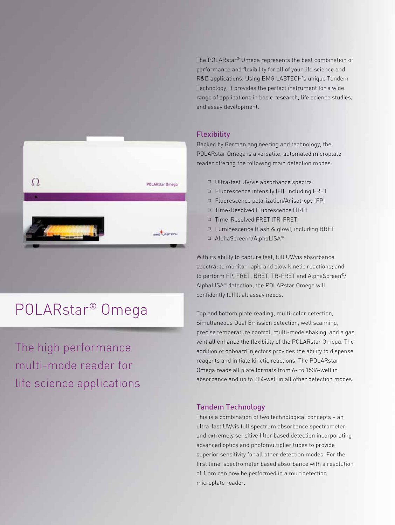$\Omega$ POLARstar Omega **BARTLARTECH** 

## POLARstar® Omega

The high performance multi-mode reader for life science applications The POLARstar® Omega represents the best combination of performance and flexibility for all of your life science and R&D applications. Using BMG LABTECH's unique Tandem Technology, it provides the perfect instrument for a wide range of applications in basic research, life science studies, and assay development.

## **Flexibility**

Backed by German engineering and technology, the POLARstar Omega is a versatile, automated microplate reader offering the following main detection modes:

- Ultra-fast UV/vis absorbance spectra
- $\Box$  Fluorescence intensity (FI), including FRET
- □ Fluorescence polarization/Anisotropy (FP)
- □ Time-Resolved Fluorescence (TRF)
- □ Time-Resolved FRET (TR-FRET)
- $\Box$  Luminescence (flash & glow), including BRET
- AlphaScreen®/AlphaLISA®

With its ability to capture fast, full UV/vis absorbance spectra; to monitor rapid and slow kinetic reactions; and to perform FP, FRET, BRET, TR-FRET and AlphaScreen®/ AlphaLISA® detection, the POLARstar Omega will confidently fulfill all assay needs.

Top and bottom plate reading, multi-color detection, Simultaneous Dual Emission detection, well scanning, precise temperature control, multi-mode shaking, and a gas vent all enhance the flexibility of the POLARstar Omega. The addition of onboard injectors provides the ability to dispense reagents and initiate kinetic reactions. The POLARstar Omega reads all plate formats from 6- to 1536-well in absorbance and up to 384-well in all other detection modes.

## Tandem Technology

This is a combination of two technological concepts – an ultra-fast UV/vis full spectrum absorbance spectrometer, and extremely sensitive filter based detection incorporating advanced optics and photomultiplier tubes to provide superior sensitivity for all other detection modes. For the first time, spectrometer based absorbance with a resolution of 1 nm can now be performed in a multidetection microplate reader.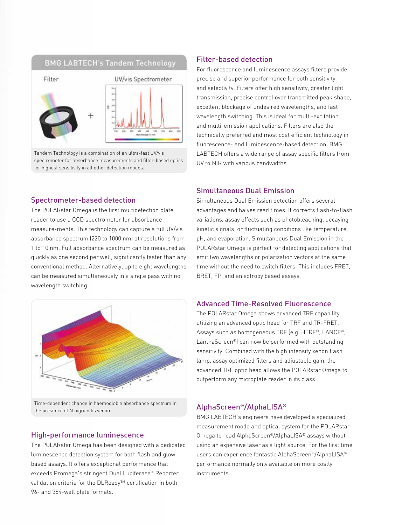## **BMG LABTECH's Tandem Technology**



Tandem Technology is a combination of an ultra-fast UV/vis spectrometer for absorbance measurements and filter-based optics for highest sensitivity in all other detection modes.

#### Spectrometer-based detection

The POLARstar Omega is the first multidetection plate reader to use a CCD spectrometer for absorbance measure-ments. This technology can capture a full UV/vis absorbance spectrum (220 to 1000 nm) at resolutions from 1 to 10 nm. Full absorbance spectrum can be measured as quickly as one second per well, significantly faster than any conventional method. Alternatively, up to eight wavelengths can be measured simultaneously in a single pass with no wavelength switching.



Time-dependent change in haemoglobin absorbance spectrum in the presence of N.nigricollis venom.

### High-performance luminescence

The POLARstar Omega has been designed with a dedicated luminescence detection system for both flash and glow based assays. It offers exceptional performance that exceeds Promega's stringent Dual Luciferase® Reporter validation criteria for the DLReady™ certification in both 96- and 384-well plate formats.

### Filter-based detection

For fluorescence and luminescence assays filters provide precise and superior performance for both sensitivity and selectivity. Filters offer high sensitivity, greater light transmission, precise control over transmitted peak shape, excellent blockage of undesired wavelengths, and fast wavelength switching. This is ideal for multi-excitation and multi-emission applications. Filters are also the technically preferred and most cost efficient technology in fluorescence- and luminescence-based detection. BMG LABTECH offers a wide range of assay specific filters from UV to NIR with various bandwidths.

## Simultaneous Dual Emission

Simultaneous Dual Emission detection offers several advantages and halves read times. It corrects flash-to-flash variations, assay effects such as photobleaching, decaying kinetic signals, or fluctuating conditions like temperature, pH, and evaporation. Simultaneous Dual Emission in the POLARstar Omega is perfect for detecting applications that emit two wavelengths or polarization vectors at the same time without the need to switch filters. This includes FRET, BRET, FP, and anisotropy based assays.

## Advanced Time-Resolved Fluorescence

The POLARstar Omega shows advanced TRF capability utilizing an advanced optic head for TRF and TR-FRET. Assays such as homogeneous TRF (e.g. HTRF®, LANCE®, LanthaScreen®) can now be performed with outstanding sensitivity. Combined with the high intensity xenon flash lamp, assay optimized filters and adjustable gain, the advanced TRF optic head allows the POLARstar Omega to outperform any microplate reader in its class.

### AlphaScreen®/AlphaLISA®

BMG LABTECH's engineers have developed a specialized measurement mode and optical system for the POLARstar Omega to read AlphaScreen®/AlphaLISA® assays without using an expensive laser as a light source. For the first time users can experience fantastic AlphaScreen®/AlphaLISA® performance normally only available on more costly instruments.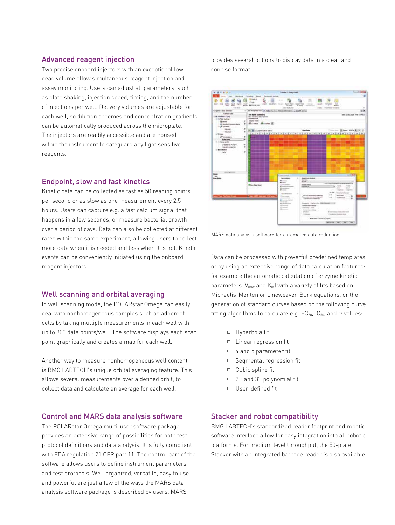#### Advanced reagent injection

Two precise onboard injectors with an exceptional low dead volume allow simultaneous reagent injection and assay monitoring. Users can adjust all parameters, such as plate shaking, injection speed, timing, and the number of injections per well. Delivery volumes are adjustable for each well, so dilution schemes and concentration gradients can be automatically produced across the microplate. The injectors are readily accessible and are housed within the instrument to safeguard any light sensitive reagents.

#### Endpoint, slow and fast kinetics

Kinetic data can be collected as fast as 50 reading points per second or as slow as one measurement every 2.5 hours. Users can capture e.g. a fast calcium signal that happens in a few seconds, or measure bacterial growth over a period of days. Data can also be collected at different rates within the same experiment, allowing users to collect more data when it is needed and less when it is not. Kinetic events can be conveniently initiated using the onboard reagent injectors.

### Well scanning and orbital averaging

In well scanning mode, the POLARstar Omega can easily deal with nonhomogeneous samples such as adherent cells by taking multiple measurements in each well with up to 900 data points/well. The software displays each scan point graphically and creates a map for each well.

Another way to measure nonhomogeneous well content is BMG LABTECH's unique orbital averaging feature. This allows several measurements over a defined orbit, to collect data and calculate an average for each well.

### Control and MARS data analysis software

The POLARstar Omega multi-user software package provides an extensive range of possibilities for both test protocol definitions and data analysis. It is fully compliant with FDA regulation 21 CFR part 11. The control part of the software allows users to define instrument parameters and test protocols. Well organized, versatile, easy to use and powerful are just a few of the ways the MARS data analysis software package is described by users. MARS

provides several options to display data in a clear and concise format.



MARS data analysis software for automated data reduction.

Data can be processed with powerful predefined templates or by using an extensive range of data calculation features: for example the automatic calculation of enzyme kinetic parameters  $[V_{max}$  and  $K_m]$  with a variety of fits based on Michaelis-Menten or Lineweaver-Burk equations, or the generation of standard curves based on the following curve fitting algorithms to calculate e.g.  $EC_{50}$ ,  $IC_{50}$ , and  $r^2$  values:

- □ Hyperbola fit
- $\Box$  Linear regression fit
- $\Box$  4 and 5 parameter fit
- $\Box$  Segmental regression fit
- $\Box$  Cubic spline fit
- $\Box$  2<sup>nd</sup> and 3<sup>rd</sup> polynomial fit
- $\Box$  User-defined fit

#### Stacker and robot compatibility

BMG LABTECH's standardized reader footprint and robotic software interface allow for easy integration into all robotic platforms. For medium level throughput, the 50-plate Stacker with an integrated barcode reader is also available.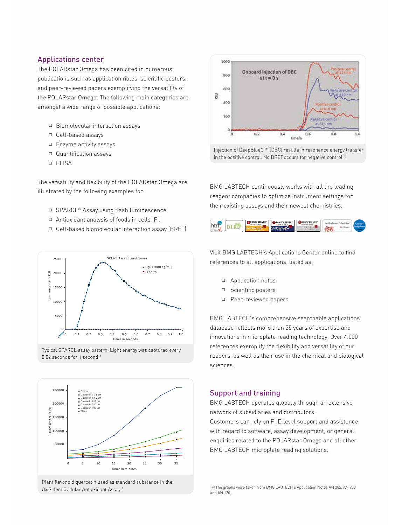#### Applications center

The POLARstar Omega has been cited in numerous publications such as application notes, scientific posters, and peer-reviewed papers exemplifying the versatility of the POLARstar Omega. The following main categories are amongst a wide range of possible applications:

- $\Box$  Biomolecular interaction assays
- Cell-based assays
- $\Box$  Enzyme activity assays
- Quantification assays
- ELISA

The versatility and flexibility of the POLARstar Omega are illustrated by the following examples for:

- □ SPARCL® Assay using flash luminescence
- $\Box$  Antioxidant analysis of foods in cells (FI)
- Cell-based biomolecular interaction assay (BRET)











Injection of DeepBlueC TM (DBC) results in resonance energy transfer in the positive control. No BRET occurs for negative control.<sup>3</sup>

BMG LABTECH continuously works with all the leading reagent companies to optimize instrument settings for their existing assays and their newest chemistries.



Visit BMG LABTECH's Applications Center online to find references to all applications, listed as:

- Application notes
- □ Scientific posters
- □ Peer-reviewed papers

BMG LABTECH's comprehensive searchable applications database reflects more than 25 years of expertise and innovations in microplate reading technology. Over 4.000 references exemplify the flexibility and versatility of our readers, as well as their use in the chemical and biological sciences.

## Support and training

BMG LABTECH operates globally through an extensive network of subsidiaries and distributors. Customers can rely on PhD level support and assistance with regard to software, assay development, or general enquiries related to the POLARstar Omega and all other BMG LABTECH microplate reading solutions.

<sup>1,2,3</sup> The graphs were taken from BMG LABTECH's Application Notes AN 282, AN 280 and AN 120.